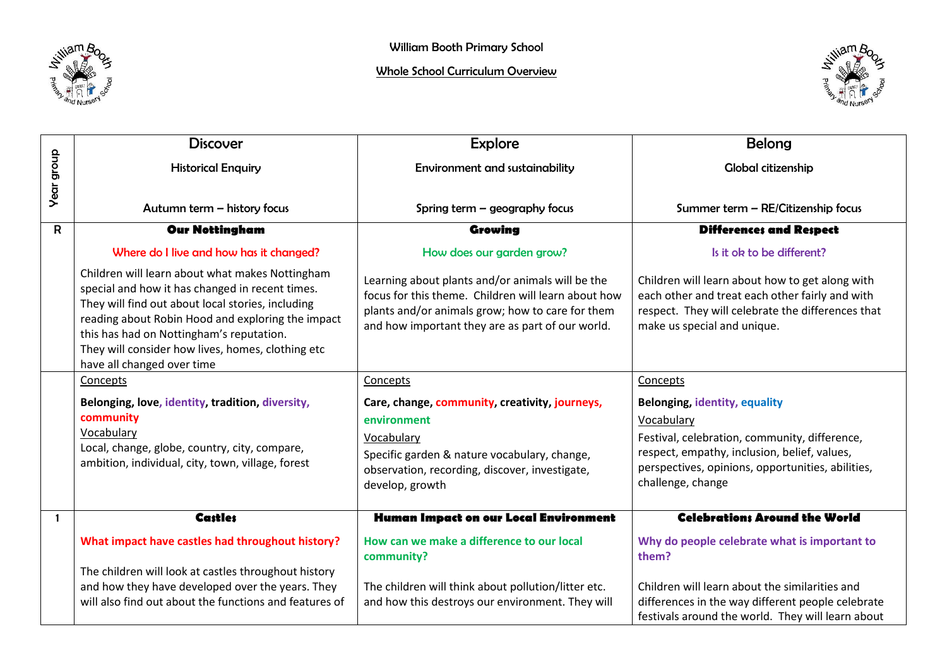

## Whole School Curriculum Overview



|                   | <b>Discover</b>                                                                                                                                                                                                                                                                                                                             | <b>Explore</b>                                                                                                                                                                                                  | <b>Belong</b>                                                                                                                                                                          |
|-------------------|---------------------------------------------------------------------------------------------------------------------------------------------------------------------------------------------------------------------------------------------------------------------------------------------------------------------------------------------|-----------------------------------------------------------------------------------------------------------------------------------------------------------------------------------------------------------------|----------------------------------------------------------------------------------------------------------------------------------------------------------------------------------------|
|                   |                                                                                                                                                                                                                                                                                                                                             |                                                                                                                                                                                                                 |                                                                                                                                                                                        |
|                   | <b>Historical Enquiry</b>                                                                                                                                                                                                                                                                                                                   | <b>Environment and sustainability</b>                                                                                                                                                                           | <b>Global citizenship</b>                                                                                                                                                              |
| <b>Year group</b> |                                                                                                                                                                                                                                                                                                                                             |                                                                                                                                                                                                                 |                                                                                                                                                                                        |
|                   | Autumn term - history focus                                                                                                                                                                                                                                                                                                                 | Spring term $-$ geography focus                                                                                                                                                                                 | Summer term - RE/Citizenship focus                                                                                                                                                     |
| $\mathsf{R}$      | <b>Our Nottingham</b>                                                                                                                                                                                                                                                                                                                       | Growing                                                                                                                                                                                                         | <b>Differences and Respect</b>                                                                                                                                                         |
|                   | Where do I live and how has it changed?                                                                                                                                                                                                                                                                                                     | How does our garden grow?                                                                                                                                                                                       | Is it ok to be different?                                                                                                                                                              |
|                   | Children will learn about what makes Nottingham<br>special and how it has changed in recent times.<br>They will find out about local stories, including<br>reading about Robin Hood and exploring the impact<br>this has had on Nottingham's reputation.<br>They will consider how lives, homes, clothing etc<br>have all changed over time | Learning about plants and/or animals will be the<br>focus for this theme. Children will learn about how<br>plants and/or animals grow; how to care for them<br>and how important they are as part of our world. | Children will learn about how to get along with<br>each other and treat each other fairly and with<br>respect. They will celebrate the differences that<br>make us special and unique. |
|                   | Concepts                                                                                                                                                                                                                                                                                                                                    | Concepts                                                                                                                                                                                                        | Concepts                                                                                                                                                                               |
|                   | Belonging, love, identity, tradition, diversity,                                                                                                                                                                                                                                                                                            | Care, change, community, creativity, journeys,                                                                                                                                                                  | <b>Belonging, identity, equality</b>                                                                                                                                                   |
|                   | community                                                                                                                                                                                                                                                                                                                                   | environment                                                                                                                                                                                                     | Vocabulary                                                                                                                                                                             |
|                   | Vocabulary                                                                                                                                                                                                                                                                                                                                  | Vocabulary                                                                                                                                                                                                      | Festival, celebration, community, difference,                                                                                                                                          |
|                   | Local, change, globe, country, city, compare,                                                                                                                                                                                                                                                                                               | Specific garden & nature vocabulary, change,                                                                                                                                                                    | respect, empathy, inclusion, belief, values,                                                                                                                                           |
|                   | ambition, individual, city, town, village, forest                                                                                                                                                                                                                                                                                           | observation, recording, discover, investigate,                                                                                                                                                                  | perspectives, opinions, opportunities, abilities,                                                                                                                                      |
|                   |                                                                                                                                                                                                                                                                                                                                             | develop, growth                                                                                                                                                                                                 | challenge, change                                                                                                                                                                      |
| $\mathbf{1}$      | <b>Castles</b>                                                                                                                                                                                                                                                                                                                              | Human Impact on our Local Environment                                                                                                                                                                           | <b>Celebrations Around the World</b>                                                                                                                                                   |
|                   | What impact have castles had throughout history?                                                                                                                                                                                                                                                                                            | How can we make a difference to our local<br>community?                                                                                                                                                         | Why do people celebrate what is important to<br>them?                                                                                                                                  |
|                   | The children will look at castles throughout history                                                                                                                                                                                                                                                                                        |                                                                                                                                                                                                                 |                                                                                                                                                                                        |
|                   | and how they have developed over the years. They                                                                                                                                                                                                                                                                                            | The children will think about pollution/litter etc.                                                                                                                                                             | Children will learn about the similarities and                                                                                                                                         |
|                   | will also find out about the functions and features of                                                                                                                                                                                                                                                                                      | and how this destroys our environment. They will                                                                                                                                                                | differences in the way different people celebrate<br>festivals around the world. They will learn about                                                                                 |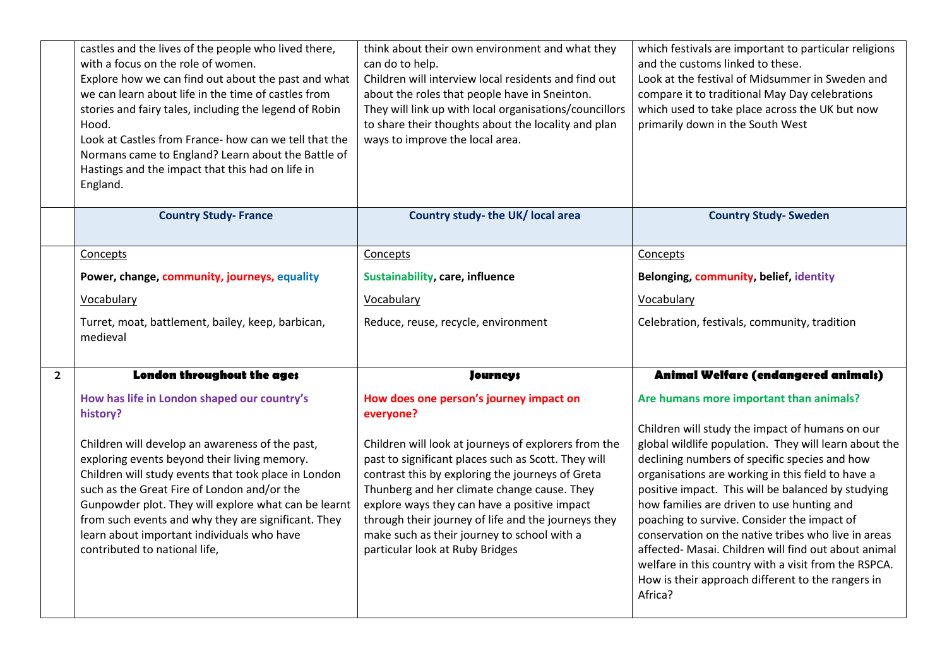|                | castles and the lives of the people who lived there,<br>with a focus on the role of women.<br>Explore how we can find out about the past and what<br>we can learn about life in the time of castles from<br>stories and fairy tales, including the legend of Robin<br>Hood.<br>Look at Castles from France- how can we tell that the<br>Normans came to England? Learn about the Battle of<br>Hastings and the impact that this had on life in<br>England.      | think about their own environment and what they<br>can do to help.<br>Children will interview local residents and find out<br>about the roles that people have in Sneinton.<br>They will link up with local organisations/councillors<br>to share their thoughts about the locality and plan<br>ways to improve the local area.                                                                                                                                 | which festivals are important to particular religions<br>and the customs linked to these.<br>Look at the festival of Midsummer in Sweden and<br>compare it to traditional May Day celebrations<br>which used to take place across the UK but now<br>primarily down in the South West                                                                                                                                                                                                                                                                                                                                                                |
|----------------|-----------------------------------------------------------------------------------------------------------------------------------------------------------------------------------------------------------------------------------------------------------------------------------------------------------------------------------------------------------------------------------------------------------------------------------------------------------------|-----------------------------------------------------------------------------------------------------------------------------------------------------------------------------------------------------------------------------------------------------------------------------------------------------------------------------------------------------------------------------------------------------------------------------------------------------------------|-----------------------------------------------------------------------------------------------------------------------------------------------------------------------------------------------------------------------------------------------------------------------------------------------------------------------------------------------------------------------------------------------------------------------------------------------------------------------------------------------------------------------------------------------------------------------------------------------------------------------------------------------------|
|                | <b>Country Study-France</b>                                                                                                                                                                                                                                                                                                                                                                                                                                     | Country study- the UK/ local area                                                                                                                                                                                                                                                                                                                                                                                                                               | <b>Country Study- Sweden</b>                                                                                                                                                                                                                                                                                                                                                                                                                                                                                                                                                                                                                        |
|                | Concepts                                                                                                                                                                                                                                                                                                                                                                                                                                                        | Concepts                                                                                                                                                                                                                                                                                                                                                                                                                                                        | Concepts                                                                                                                                                                                                                                                                                                                                                                                                                                                                                                                                                                                                                                            |
|                | Power, change, community, journeys, equality                                                                                                                                                                                                                                                                                                                                                                                                                    | Sustainability, care, influence                                                                                                                                                                                                                                                                                                                                                                                                                                 | Belonging, community, belief, identity                                                                                                                                                                                                                                                                                                                                                                                                                                                                                                                                                                                                              |
|                | Vocabulary                                                                                                                                                                                                                                                                                                                                                                                                                                                      | Vocabulary                                                                                                                                                                                                                                                                                                                                                                                                                                                      | Vocabulary                                                                                                                                                                                                                                                                                                                                                                                                                                                                                                                                                                                                                                          |
|                | Turret, moat, battlement, bailey, keep, barbican,<br>medieval                                                                                                                                                                                                                                                                                                                                                                                                   | Reduce, reuse, recycle, environment                                                                                                                                                                                                                                                                                                                                                                                                                             | Celebration, festivals, community, tradition                                                                                                                                                                                                                                                                                                                                                                                                                                                                                                                                                                                                        |
| $\overline{2}$ | London throughout the ages                                                                                                                                                                                                                                                                                                                                                                                                                                      | <b>Journeys</b>                                                                                                                                                                                                                                                                                                                                                                                                                                                 | Animal Welfare (endangered animals)                                                                                                                                                                                                                                                                                                                                                                                                                                                                                                                                                                                                                 |
|                | How has life in London shaped our country's<br>history?<br>Children will develop an awareness of the past,<br>exploring events beyond their living memory.<br>Children will study events that took place in London<br>such as the Great Fire of London and/or the<br>Gunpowder plot. They will explore what can be learnt<br>from such events and why they are significant. They<br>learn about important individuals who have<br>contributed to national life, | How does one person's journey impact on<br>everyone?<br>Children will look at journeys of explorers from the<br>past to significant places such as Scott. They will<br>contrast this by exploring the journeys of Greta<br>Thunberg and her climate change cause. They<br>explore ways they can have a positive impact<br>through their journey of life and the journeys they<br>make such as their journey to school with a<br>particular look at Ruby Bridges | Are humans more important than animals?<br>Children will study the impact of humans on our<br>global wildlife population. They will learn about the<br>declining numbers of specific species and how<br>organisations are working in this field to have a<br>positive impact. This will be balanced by studying<br>how families are driven to use hunting and<br>poaching to survive. Consider the impact of<br>conservation on the native tribes who live in areas<br>affected- Masai. Children will find out about animal<br>welfare in this country with a visit from the RSPCA.<br>How is their approach different to the rangers in<br>Africa? |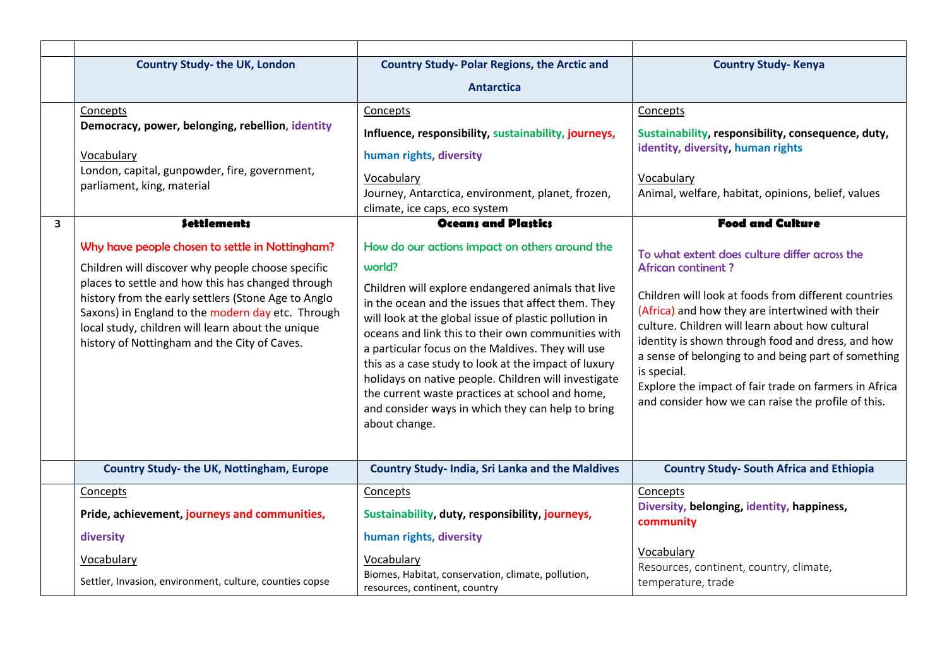|                         | <b>Country Study-the UK, London</b>                                                                                                                                                                                                                                                                                                                                        | <b>Country Study-Polar Regions, the Arctic and</b>                                                                                                                                                                                                                                                                                                                                                                                                                                                                                                                                | <b>Country Study-Kenya</b>                                                                                                                                                                                                                                                                                                                                                                                                                                                          |
|-------------------------|----------------------------------------------------------------------------------------------------------------------------------------------------------------------------------------------------------------------------------------------------------------------------------------------------------------------------------------------------------------------------|-----------------------------------------------------------------------------------------------------------------------------------------------------------------------------------------------------------------------------------------------------------------------------------------------------------------------------------------------------------------------------------------------------------------------------------------------------------------------------------------------------------------------------------------------------------------------------------|-------------------------------------------------------------------------------------------------------------------------------------------------------------------------------------------------------------------------------------------------------------------------------------------------------------------------------------------------------------------------------------------------------------------------------------------------------------------------------------|
|                         |                                                                                                                                                                                                                                                                                                                                                                            | <b>Antarctica</b>                                                                                                                                                                                                                                                                                                                                                                                                                                                                                                                                                                 |                                                                                                                                                                                                                                                                                                                                                                                                                                                                                     |
|                         | Concepts                                                                                                                                                                                                                                                                                                                                                                   | Concepts                                                                                                                                                                                                                                                                                                                                                                                                                                                                                                                                                                          | Concepts                                                                                                                                                                                                                                                                                                                                                                                                                                                                            |
|                         | Democracy, power, belonging, rebellion, identity                                                                                                                                                                                                                                                                                                                           | Influence, responsibility, sustainability, journeys,                                                                                                                                                                                                                                                                                                                                                                                                                                                                                                                              | Sustainability, responsibility, consequence, duty,                                                                                                                                                                                                                                                                                                                                                                                                                                  |
|                         | Vocabulary                                                                                                                                                                                                                                                                                                                                                                 | human rights, diversity                                                                                                                                                                                                                                                                                                                                                                                                                                                                                                                                                           | identity, diversity, human rights                                                                                                                                                                                                                                                                                                                                                                                                                                                   |
|                         | London, capital, gunpowder, fire, government,<br>parliament, king, material                                                                                                                                                                                                                                                                                                | Vocabulary                                                                                                                                                                                                                                                                                                                                                                                                                                                                                                                                                                        | Vocabulary                                                                                                                                                                                                                                                                                                                                                                                                                                                                          |
|                         |                                                                                                                                                                                                                                                                                                                                                                            | Journey, Antarctica, environment, planet, frozen,<br>climate, ice caps, eco system                                                                                                                                                                                                                                                                                                                                                                                                                                                                                                | Animal, welfare, habitat, opinions, belief, values                                                                                                                                                                                                                                                                                                                                                                                                                                  |
| $\overline{\mathbf{3}}$ | <b>Settlements</b>                                                                                                                                                                                                                                                                                                                                                         | <b>Oceans and Plastics</b>                                                                                                                                                                                                                                                                                                                                                                                                                                                                                                                                                        | <b>Food and Culture</b>                                                                                                                                                                                                                                                                                                                                                                                                                                                             |
|                         | Why have people chosen to settle in Nottingham?<br>Children will discover why people choose specific<br>places to settle and how this has changed through<br>history from the early settlers (Stone Age to Anglo<br>Saxons) in England to the modern day etc. Through<br>local study, children will learn about the unique<br>history of Nottingham and the City of Caves. | How do our actions impact on others around the<br>world?<br>Children will explore endangered animals that live<br>in the ocean and the issues that affect them. They<br>will look at the global issue of plastic pollution in<br>oceans and link this to their own communities with<br>a particular focus on the Maldives. They will use<br>this as a case study to look at the impact of luxury<br>holidays on native people. Children will investigate<br>the current waste practices at school and home,<br>and consider ways in which they can help to bring<br>about change. | To what extent does culture differ across the<br><b>African continent?</b><br>Children will look at foods from different countries<br>(Africa) and how they are intertwined with their<br>culture. Children will learn about how cultural<br>identity is shown through food and dress, and how<br>a sense of belonging to and being part of something<br>is special.<br>Explore the impact of fair trade on farmers in Africa<br>and consider how we can raise the profile of this. |
|                         | Country Study-the UK, Nottingham, Europe                                                                                                                                                                                                                                                                                                                                   | <b>Country Study- India, Sri Lanka and the Maldives</b>                                                                                                                                                                                                                                                                                                                                                                                                                                                                                                                           | <b>Country Study- South Africa and Ethiopia</b>                                                                                                                                                                                                                                                                                                                                                                                                                                     |
|                         | Concepts                                                                                                                                                                                                                                                                                                                                                                   | Concepts                                                                                                                                                                                                                                                                                                                                                                                                                                                                                                                                                                          | Concepts                                                                                                                                                                                                                                                                                                                                                                                                                                                                            |
|                         | Pride, achievement, journeys and communities,                                                                                                                                                                                                                                                                                                                              | Sustainability, duty, responsibility, journeys,                                                                                                                                                                                                                                                                                                                                                                                                                                                                                                                                   | Diversity, belonging, identity, happiness,<br>community                                                                                                                                                                                                                                                                                                                                                                                                                             |
|                         | diversity                                                                                                                                                                                                                                                                                                                                                                  | human rights, diversity                                                                                                                                                                                                                                                                                                                                                                                                                                                                                                                                                           |                                                                                                                                                                                                                                                                                                                                                                                                                                                                                     |
|                         | Vocabulary                                                                                                                                                                                                                                                                                                                                                                 | Vocabulary                                                                                                                                                                                                                                                                                                                                                                                                                                                                                                                                                                        | Vocabulary<br>Resources, continent, country, climate,                                                                                                                                                                                                                                                                                                                                                                                                                               |
|                         | Settler, Invasion, environment, culture, counties copse                                                                                                                                                                                                                                                                                                                    | Biomes, Habitat, conservation, climate, pollution,<br>resources, continent, country                                                                                                                                                                                                                                                                                                                                                                                                                                                                                               | temperature, trade                                                                                                                                                                                                                                                                                                                                                                                                                                                                  |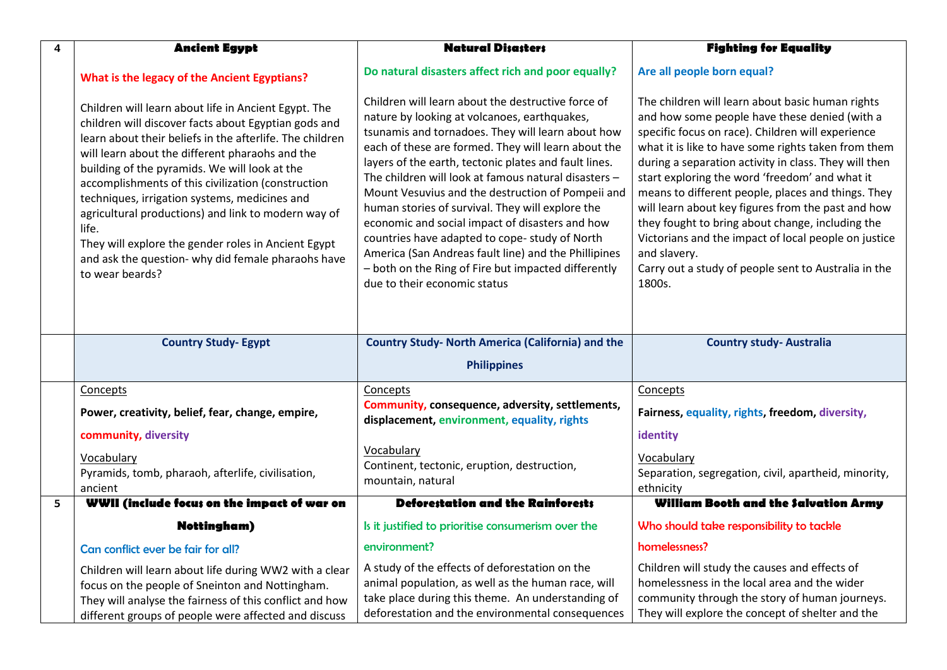| 4 | <b>Ancient Egypt</b>                                                                                                                                                                                                                                                                                                                                                                                                                                                                                                                                                                | <b>Natural Disasters</b>                                                                                                                                                                                                                                                                                                                                                                                                                                                                                                                                                                                                                                                                    | <b>Fighting for Equality</b>                                                                                                                                                                                                                                                                                                                                                                                                                                                                                                                                                                                                       |
|---|-------------------------------------------------------------------------------------------------------------------------------------------------------------------------------------------------------------------------------------------------------------------------------------------------------------------------------------------------------------------------------------------------------------------------------------------------------------------------------------------------------------------------------------------------------------------------------------|---------------------------------------------------------------------------------------------------------------------------------------------------------------------------------------------------------------------------------------------------------------------------------------------------------------------------------------------------------------------------------------------------------------------------------------------------------------------------------------------------------------------------------------------------------------------------------------------------------------------------------------------------------------------------------------------|------------------------------------------------------------------------------------------------------------------------------------------------------------------------------------------------------------------------------------------------------------------------------------------------------------------------------------------------------------------------------------------------------------------------------------------------------------------------------------------------------------------------------------------------------------------------------------------------------------------------------------|
|   | What is the legacy of the Ancient Egyptians?                                                                                                                                                                                                                                                                                                                                                                                                                                                                                                                                        | Do natural disasters affect rich and poor equally?                                                                                                                                                                                                                                                                                                                                                                                                                                                                                                                                                                                                                                          | Are all people born equal?                                                                                                                                                                                                                                                                                                                                                                                                                                                                                                                                                                                                         |
|   | Children will learn about life in Ancient Egypt. The<br>children will discover facts about Egyptian gods and<br>learn about their beliefs in the afterlife. The children<br>will learn about the different pharaohs and the<br>building of the pyramids. We will look at the<br>accomplishments of this civilization (construction<br>techniques, irrigation systems, medicines and<br>agricultural productions) and link to modern way of<br>life.<br>They will explore the gender roles in Ancient Egypt<br>and ask the question- why did female pharaohs have<br>to wear beards? | Children will learn about the destructive force of<br>nature by looking at volcanoes, earthquakes,<br>tsunamis and tornadoes. They will learn about how<br>each of these are formed. They will learn about the<br>layers of the earth, tectonic plates and fault lines.<br>The children will look at famous natural disasters -<br>Mount Vesuvius and the destruction of Pompeii and<br>human stories of survival. They will explore the<br>economic and social impact of disasters and how<br>countries have adapted to cope-study of North<br>America (San Andreas fault line) and the Phillipines<br>- both on the Ring of Fire but impacted differently<br>due to their economic status | The children will learn about basic human rights<br>and how some people have these denied (with a<br>specific focus on race). Children will experience<br>what it is like to have some rights taken from them<br>during a separation activity in class. They will then<br>start exploring the word 'freedom' and what it<br>means to different people, places and things. They<br>will learn about key figures from the past and how<br>they fought to bring about change, including the<br>Victorians and the impact of local people on justice<br>and slavery.<br>Carry out a study of people sent to Australia in the<br>1800s. |
|   | <b>Country Study- Egypt</b>                                                                                                                                                                                                                                                                                                                                                                                                                                                                                                                                                         | <b>Country Study- North America (California) and the</b>                                                                                                                                                                                                                                                                                                                                                                                                                                                                                                                                                                                                                                    | <b>Country study-Australia</b>                                                                                                                                                                                                                                                                                                                                                                                                                                                                                                                                                                                                     |
|   |                                                                                                                                                                                                                                                                                                                                                                                                                                                                                                                                                                                     | <b>Philippines</b>                                                                                                                                                                                                                                                                                                                                                                                                                                                                                                                                                                                                                                                                          |                                                                                                                                                                                                                                                                                                                                                                                                                                                                                                                                                                                                                                    |
|   | Concepts                                                                                                                                                                                                                                                                                                                                                                                                                                                                                                                                                                            | Concepts                                                                                                                                                                                                                                                                                                                                                                                                                                                                                                                                                                                                                                                                                    | Concepts                                                                                                                                                                                                                                                                                                                                                                                                                                                                                                                                                                                                                           |
|   | Power, creativity, belief, fear, change, empire,                                                                                                                                                                                                                                                                                                                                                                                                                                                                                                                                    | Community, consequence, adversity, settlements,<br>displacement, environment, equality, rights                                                                                                                                                                                                                                                                                                                                                                                                                                                                                                                                                                                              | Fairness, equality, rights, freedom, diversity,                                                                                                                                                                                                                                                                                                                                                                                                                                                                                                                                                                                    |
|   | community, diversity                                                                                                                                                                                                                                                                                                                                                                                                                                                                                                                                                                |                                                                                                                                                                                                                                                                                                                                                                                                                                                                                                                                                                                                                                                                                             | identity                                                                                                                                                                                                                                                                                                                                                                                                                                                                                                                                                                                                                           |
|   | Vocabulary<br>Pyramids, tomb, pharaoh, afterlife, civilisation,<br>ancient                                                                                                                                                                                                                                                                                                                                                                                                                                                                                                          | Vocabulary<br>Continent, tectonic, eruption, destruction,<br>mountain, natural                                                                                                                                                                                                                                                                                                                                                                                                                                                                                                                                                                                                              | Vocabulary<br>Separation, segregation, civil, apartheid, minority,<br>ethnicity                                                                                                                                                                                                                                                                                                                                                                                                                                                                                                                                                    |
| 5 | WWII (include focus on the impact of war on                                                                                                                                                                                                                                                                                                                                                                                                                                                                                                                                         | <b>Deforestation and the Rainforests</b>                                                                                                                                                                                                                                                                                                                                                                                                                                                                                                                                                                                                                                                    | William Booth and the Salvation Army                                                                                                                                                                                                                                                                                                                                                                                                                                                                                                                                                                                               |
|   | <b>Nottingham</b> )                                                                                                                                                                                                                                                                                                                                                                                                                                                                                                                                                                 | Is it justified to prioritise consumerism over the                                                                                                                                                                                                                                                                                                                                                                                                                                                                                                                                                                                                                                          | Who should take responsibility to tackle                                                                                                                                                                                                                                                                                                                                                                                                                                                                                                                                                                                           |
|   | Can conflict ever be fair for all?                                                                                                                                                                                                                                                                                                                                                                                                                                                                                                                                                  | environment?                                                                                                                                                                                                                                                                                                                                                                                                                                                                                                                                                                                                                                                                                | homelessness?                                                                                                                                                                                                                                                                                                                                                                                                                                                                                                                                                                                                                      |
|   | Children will learn about life during WW2 with a clear<br>focus on the people of Sneinton and Nottingham.<br>They will analyse the fairness of this conflict and how<br>different groups of people were affected and discuss                                                                                                                                                                                                                                                                                                                                                        | A study of the effects of deforestation on the<br>animal population, as well as the human race, will<br>take place during this theme. An understanding of<br>deforestation and the environmental consequences                                                                                                                                                                                                                                                                                                                                                                                                                                                                               | Children will study the causes and effects of<br>homelessness in the local area and the wider<br>community through the story of human journeys.<br>They will explore the concept of shelter and the                                                                                                                                                                                                                                                                                                                                                                                                                                |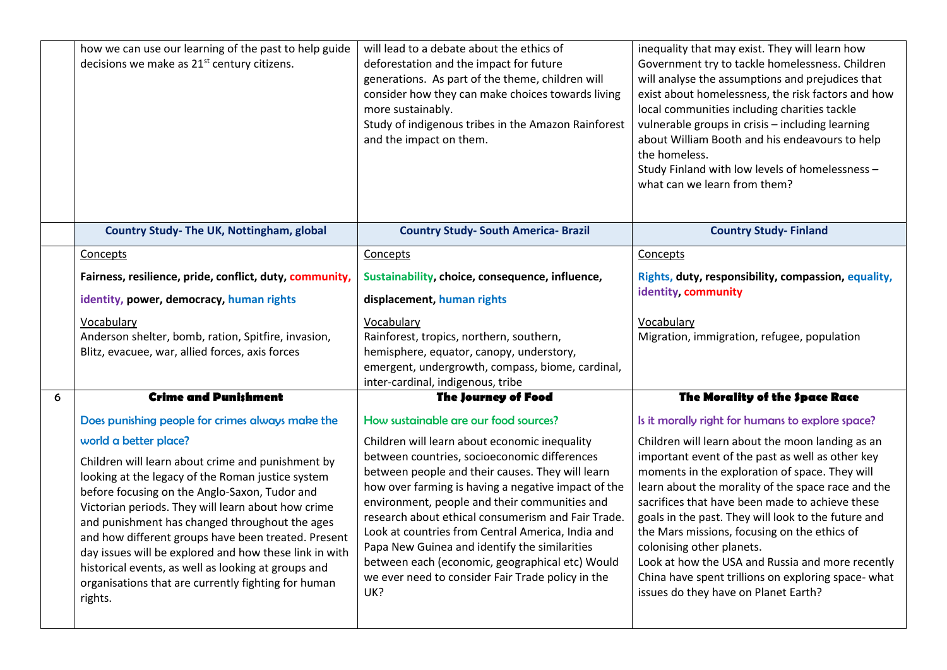|   | how we can use our learning of the past to help guide<br>decisions we make as 21 <sup>st</sup> century citizens.                                                                                                                                                                                                                                                                                                                                                                                          | will lead to a debate about the ethics of<br>deforestation and the impact for future<br>generations. As part of the theme, children will<br>consider how they can make choices towards living<br>more sustainably.<br>Study of indigenous tribes in the Amazon Rainforest<br>and the impact on them.                                                                                                                                                                                | inequality that may exist. They will learn how<br>Government try to tackle homelessness. Children<br>will analyse the assumptions and prejudices that<br>exist about homelessness, the risk factors and how<br>local communities including charities tackle<br>vulnerable groups in crisis - including learning<br>about William Booth and his endeavours to help<br>the homeless.<br>Study Finland with low levels of homelessness -<br>what can we learn from them?                              |
|---|-----------------------------------------------------------------------------------------------------------------------------------------------------------------------------------------------------------------------------------------------------------------------------------------------------------------------------------------------------------------------------------------------------------------------------------------------------------------------------------------------------------|-------------------------------------------------------------------------------------------------------------------------------------------------------------------------------------------------------------------------------------------------------------------------------------------------------------------------------------------------------------------------------------------------------------------------------------------------------------------------------------|----------------------------------------------------------------------------------------------------------------------------------------------------------------------------------------------------------------------------------------------------------------------------------------------------------------------------------------------------------------------------------------------------------------------------------------------------------------------------------------------------|
|   | Country Study- The UK, Nottingham, global                                                                                                                                                                                                                                                                                                                                                                                                                                                                 | <b>Country Study- South America- Brazil</b>                                                                                                                                                                                                                                                                                                                                                                                                                                         | <b>Country Study-Finland</b>                                                                                                                                                                                                                                                                                                                                                                                                                                                                       |
|   | Concepts                                                                                                                                                                                                                                                                                                                                                                                                                                                                                                  | Concepts                                                                                                                                                                                                                                                                                                                                                                                                                                                                            | Concepts                                                                                                                                                                                                                                                                                                                                                                                                                                                                                           |
|   | Fairness, resilience, pride, conflict, duty, community,                                                                                                                                                                                                                                                                                                                                                                                                                                                   | Sustainability, choice, consequence, influence,                                                                                                                                                                                                                                                                                                                                                                                                                                     | Rights, duty, responsibility, compassion, equality,                                                                                                                                                                                                                                                                                                                                                                                                                                                |
|   | identity, power, democracy, human rights                                                                                                                                                                                                                                                                                                                                                                                                                                                                  | displacement, human rights                                                                                                                                                                                                                                                                                                                                                                                                                                                          | identity, community                                                                                                                                                                                                                                                                                                                                                                                                                                                                                |
|   | Vocabulary                                                                                                                                                                                                                                                                                                                                                                                                                                                                                                | Vocabulary                                                                                                                                                                                                                                                                                                                                                                                                                                                                          | Vocabulary                                                                                                                                                                                                                                                                                                                                                                                                                                                                                         |
|   | Anderson shelter, bomb, ration, Spitfire, invasion,                                                                                                                                                                                                                                                                                                                                                                                                                                                       | Rainforest, tropics, northern, southern,                                                                                                                                                                                                                                                                                                                                                                                                                                            | Migration, immigration, refugee, population                                                                                                                                                                                                                                                                                                                                                                                                                                                        |
|   | Blitz, evacuee, war, allied forces, axis forces                                                                                                                                                                                                                                                                                                                                                                                                                                                           | hemisphere, equator, canopy, understory,<br>emergent, undergrowth, compass, biome, cardinal,                                                                                                                                                                                                                                                                                                                                                                                        |                                                                                                                                                                                                                                                                                                                                                                                                                                                                                                    |
|   |                                                                                                                                                                                                                                                                                                                                                                                                                                                                                                           | inter-cardinal, indigenous, tribe                                                                                                                                                                                                                                                                                                                                                                                                                                                   |                                                                                                                                                                                                                                                                                                                                                                                                                                                                                                    |
| 6 | <b>Crime and Punishment</b>                                                                                                                                                                                                                                                                                                                                                                                                                                                                               | <b>The Journey of Food</b>                                                                                                                                                                                                                                                                                                                                                                                                                                                          | The Morality of the Space Race                                                                                                                                                                                                                                                                                                                                                                                                                                                                     |
|   | Does punishing people for crimes always make the                                                                                                                                                                                                                                                                                                                                                                                                                                                          | How sustainable are our food sources?                                                                                                                                                                                                                                                                                                                                                                                                                                               | Is it morally right for humans to explore space?                                                                                                                                                                                                                                                                                                                                                                                                                                                   |
|   | world a better place?                                                                                                                                                                                                                                                                                                                                                                                                                                                                                     | Children will learn about economic inequality                                                                                                                                                                                                                                                                                                                                                                                                                                       | Children will learn about the moon landing as an                                                                                                                                                                                                                                                                                                                                                                                                                                                   |
|   | Children will learn about crime and punishment by<br>looking at the legacy of the Roman justice system<br>before focusing on the Anglo-Saxon, Tudor and<br>Victorian periods. They will learn about how crime<br>and punishment has changed throughout the ages<br>and how different groups have been treated. Present<br>day issues will be explored and how these link in with<br>historical events, as well as looking at groups and<br>organisations that are currently fighting for human<br>rights. | between countries, socioeconomic differences<br>between people and their causes. They will learn<br>how over farming is having a negative impact of the<br>environment, people and their communities and<br>research about ethical consumerism and Fair Trade.<br>Look at countries from Central America, India and<br>Papa New Guinea and identify the similarities<br>between each (economic, geographical etc) Would<br>we ever need to consider Fair Trade policy in the<br>UK? | important event of the past as well as other key<br>moments in the exploration of space. They will<br>learn about the morality of the space race and the<br>sacrifices that have been made to achieve these<br>goals in the past. They will look to the future and<br>the Mars missions, focusing on the ethics of<br>colonising other planets.<br>Look at how the USA and Russia and more recently<br>China have spent trillions on exploring space- what<br>issues do they have on Planet Earth? |